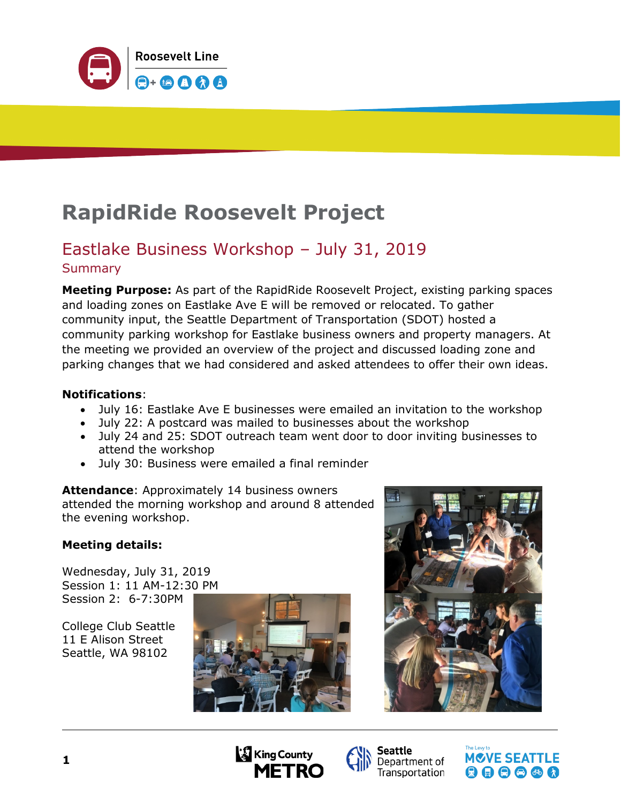

# **RapidRide Roosevelt Project**

### Eastlake Business Workshop – July 31, 2019 **Summary**

**Meeting Purpose:** As part of the RapidRide Roosevelt Project, existing parking spaces and loading zones on Eastlake Ave E will be removed or relocated. To gather community input, the Seattle Department of Transportation (SDOT) hosted a community parking workshop for Eastlake business owners and property managers. At the meeting we provided an overview of the project and discussed loading zone and parking changes that we had considered and asked attendees to offer their own ideas.

#### **Notifications**:

- July 16: Eastlake Ave E businesses were emailed an invitation to the workshop
- July 22: A postcard was mailed to businesses about the workshop
- July 24 and 25: SDOT outreach team went door to door inviting businesses to attend the workshop
- July 30: Business were emailed a final reminder

**Attendance**: Approximately 14 business owners attended the morning workshop and around 8 attended the evening workshop.

#### **Meeting details:**

Wednesday, July 31, 2019 Session 1: 11 AM-12:30 PM Session 2: 6-7:30PM

College Club Seattle 11 E Alison Street Seattle, WA 98102









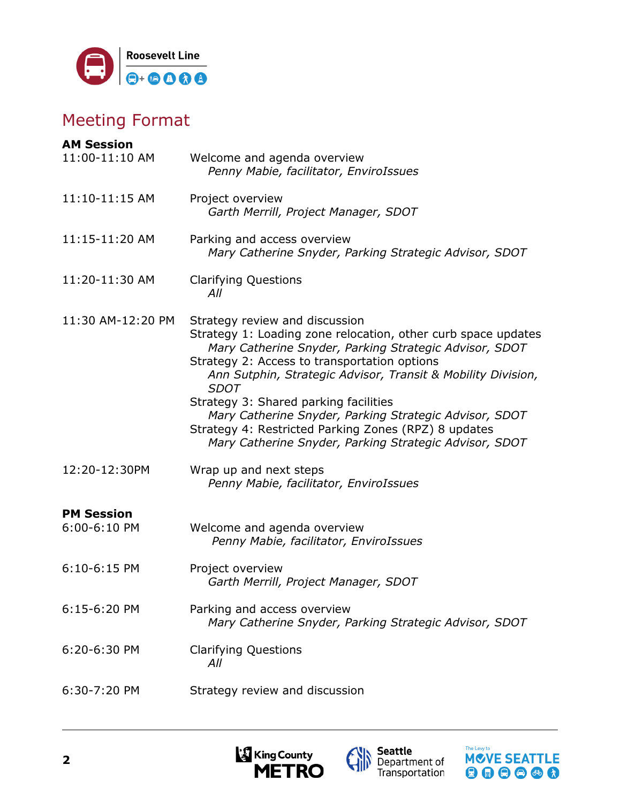

# Meeting Format

| <b>AM Session</b> |                                                                                                                                                                                                                                                                                                                                                                                                                                                                                                               |
|-------------------|---------------------------------------------------------------------------------------------------------------------------------------------------------------------------------------------------------------------------------------------------------------------------------------------------------------------------------------------------------------------------------------------------------------------------------------------------------------------------------------------------------------|
| 11:00-11:10 AM    | Welcome and agenda overview<br>Penny Mabie, facilitator, EnviroIssues                                                                                                                                                                                                                                                                                                                                                                                                                                         |
| 11:10-11:15 AM    | Project overview<br>Garth Merrill, Project Manager, SDOT                                                                                                                                                                                                                                                                                                                                                                                                                                                      |
| 11:15-11:20 AM    | Parking and access overview<br>Mary Catherine Snyder, Parking Strategic Advisor, SDOT                                                                                                                                                                                                                                                                                                                                                                                                                         |
| 11:20-11:30 AM    | <b>Clarifying Questions</b><br>All                                                                                                                                                                                                                                                                                                                                                                                                                                                                            |
| 11:30 AM-12:20 PM | Strategy review and discussion<br>Strategy 1: Loading zone relocation, other curb space updates<br>Mary Catherine Snyder, Parking Strategic Advisor, SDOT<br>Strategy 2: Access to transportation options<br>Ann Sutphin, Strategic Advisor, Transit & Mobility Division,<br><b>SDOT</b><br>Strategy 3: Shared parking facilities<br>Mary Catherine Snyder, Parking Strategic Advisor, SDOT<br>Strategy 4: Restricted Parking Zones (RPZ) 8 updates<br>Mary Catherine Snyder, Parking Strategic Advisor, SDOT |
| 12:20-12:30PM     | Wrap up and next steps<br>Penny Mabie, facilitator, EnviroIssues                                                                                                                                                                                                                                                                                                                                                                                                                                              |
| <b>PM Session</b> |                                                                                                                                                                                                                                                                                                                                                                                                                                                                                                               |
| 6:00-6:10 PM      | Welcome and agenda overview<br>Penny Mabie, facilitator, EnviroIssues                                                                                                                                                                                                                                                                                                                                                                                                                                         |
| 6:10-6:15 PM      | Project overview<br>Garth Merrill, Project Manager, SDOT                                                                                                                                                                                                                                                                                                                                                                                                                                                      |
| 6:15-6:20 PM      | Parking and access overview<br>Mary Catherine Snyder, Parking Strategic Advisor, SDOT                                                                                                                                                                                                                                                                                                                                                                                                                         |
| 6:20-6:30 PM      | <b>Clarifying Questions</b><br>All                                                                                                                                                                                                                                                                                                                                                                                                                                                                            |
| 6:30-7:20 PM      | Strategy review and discussion                                                                                                                                                                                                                                                                                                                                                                                                                                                                                |





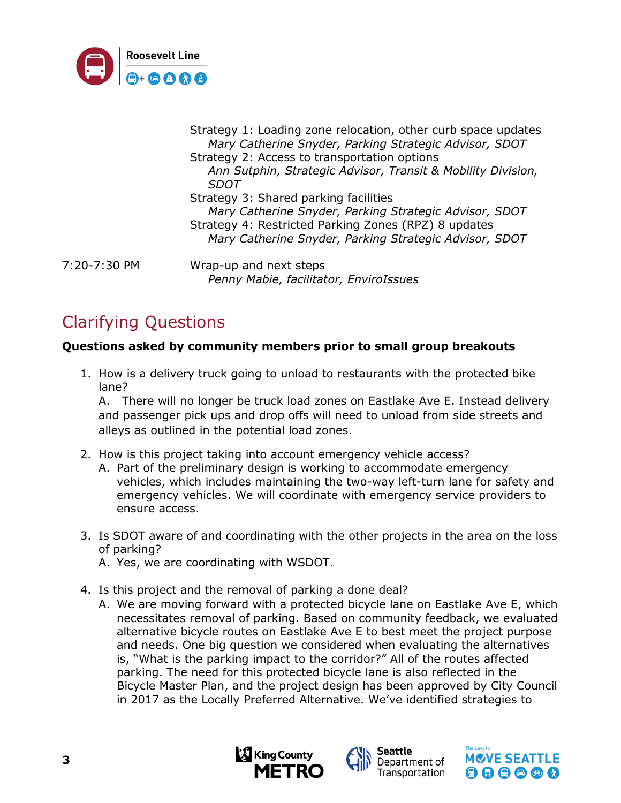

Strategy 1: Loading zone relocation, other curb space updates *Mary Catherine Snyder, Parking Strategic Advisor, SDOT* Strategy 2: Access to transportation options *Ann Sutphin, Strategic Advisor, Transit & Mobility Division, SDOT* Strategy 3: Shared parking facilities *Mary Catherine Snyder, Parking Strategic Advisor, SDOT* Strategy 4: Restricted Parking Zones (RPZ) 8 updates *Mary Catherine Snyder, Parking Strategic Advisor, SDOT* 7:20-7:30 PM Wrap-up and next steps

# Clarifying Questions

#### **Questions asked by community members prior to small group breakouts**

1. How is a delivery truck going to unload to restaurants with the protected bike lane?

*Penny Mabie, facilitator, EnviroIssues*

A. There will no longer be truck load zones on Eastlake Ave E. Instead delivery and passenger pick ups and drop offs will need to unload from side streets and alleys as outlined in the potential load zones.

- 2. How is this project taking into account emergency vehicle access?
	- A. Part of the preliminary design is working to accommodate emergency vehicles, which includes maintaining the two-way left-turn lane for safety and emergency vehicles. We will coordinate with emergency service providers to ensure access.
- 3. Is SDOT aware of and coordinating with the other projects in the area on the loss of parking?
	- A. Yes, we are coordinating with WSDOT.
- 4. Is this project and the removal of parking a done deal?
	- A. We are moving forward with a protected bicycle lane on Eastlake Ave E, which necessitates removal of parking. Based on community feedback, we evaluated alternative bicycle routes on Eastlake Ave E to best meet the project purpose and needs. One big question we considered when evaluating the alternatives is, "What is the parking impact to the corridor?" All of the routes affected parking. The need for this protected bicycle lane is also reflected in the Bicycle Master Plan, and the project design has been approved by City Council in 2017 as the Locally Preferred Alternative. We've identified strategies to



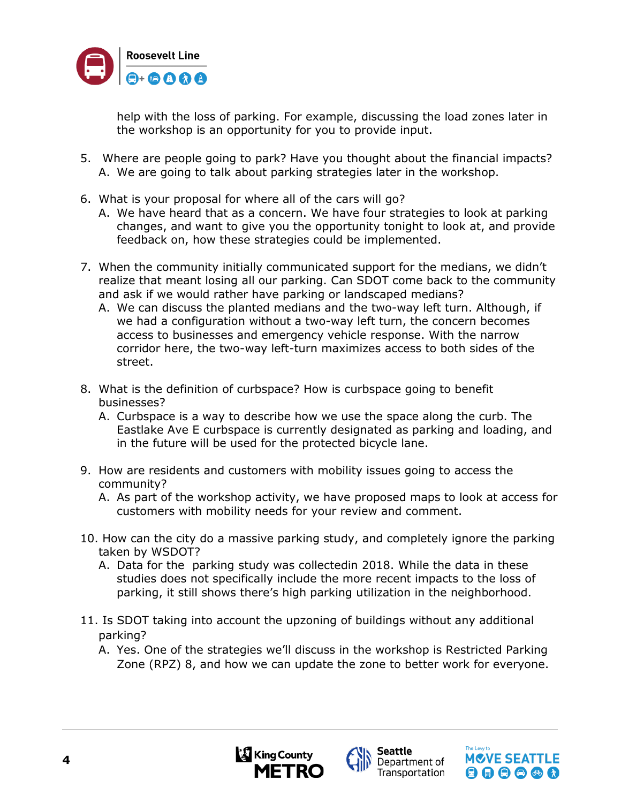

help with the loss of parking. For example, discussing the load zones later in the workshop is an opportunity for you to provide input.

- 5. Where are people going to park? Have you thought about the financial impacts? A. We are going to talk about parking strategies later in the workshop.
- 6. What is your proposal for where all of the cars will go?
	- A. We have heard that as a concern. We have four strategies to look at parking changes, and want to give you the opportunity tonight to look at, and provide feedback on, how these strategies could be implemented.
- 7. When the community initially communicated support for the medians, we didn't realize that meant losing all our parking. Can SDOT come back to the community and ask if we would rather have parking or landscaped medians?
	- A. We can discuss the planted medians and the two-way left turn. Although, if we had a configuration without a two-way left turn, the concern becomes access to businesses and emergency vehicle response. With the narrow corridor here, the two-way left-turn maximizes access to both sides of the street.
- 8. What is the definition of curbspace? How is curbspace going to benefit businesses?
	- A. Curbspace is a way to describe how we use the space along the curb. The Eastlake Ave E curbspace is currently designated as parking and loading, and in the future will be used for the protected bicycle lane.
- 9. How are residents and customers with mobility issues going to access the community?
	- A. As part of the workshop activity, we have proposed maps to look at access for customers with mobility needs for your review and comment.
- 10. How can the city do a massive parking study, and completely ignore the parking taken by WSDOT?
	- A. Data for the parking study was collectedin 2018. While the data in these studies does not specifically include the more recent impacts to the loss of parking, it still shows there's high parking utilization in the neighborhood.
- 11. Is SDOT taking into account the upzoning of buildings without any additional parking?
	- A. Yes. One of the strategies we'll discuss in the workshop is Restricted Parking Zone (RPZ) 8, and how we can update the zone to better work for everyone.





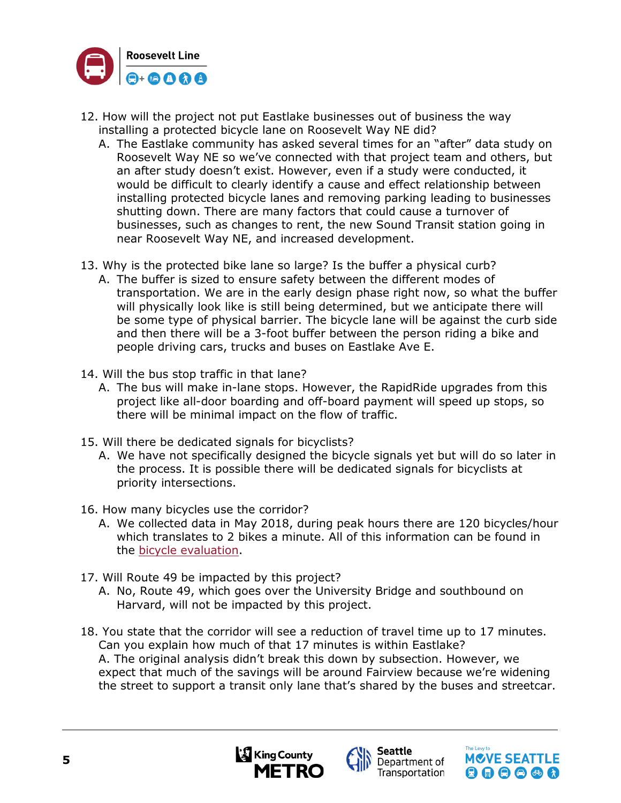

- 12. How will the project not put Eastlake businesses out of business the way installing a protected bicycle lane on Roosevelt Way NE did?
	- A. The Eastlake community has asked several times for an "after" data study on Roosevelt Way NE so we've connected with that project team and others, but an after study doesn't exist. However, even if a study were conducted, it would be difficult to clearly identify a cause and effect relationship between installing protected bicycle lanes and removing parking leading to businesses shutting down. There are many factors that could cause a turnover of businesses, such as changes to rent, the new Sound Transit station going in near Roosevelt Way NE, and increased development.
- 13. Why is the protected bike lane so large? Is the buffer a physical curb?
	- A. The buffer is sized to ensure safety between the different modes of transportation. We are in the early design phase right now, so what the buffer will physically look like is still being determined, but we anticipate there will be some type of physical barrier. The bicycle lane will be against the curb side and then there will be a 3-foot buffer between the person riding a bike and people driving cars, trucks and buses on Eastlake Ave E.
- 14. Will the bus stop traffic in that lane?
	- A. The bus will make in-lane stops. However, the RapidRide upgrades from this project like all-door boarding and off-board payment will speed up stops, so there will be minimal impact on the flow of traffic.
- 15. Will there be dedicated signals for bicyclists?
	- A. We have not specifically designed the bicycle signals yet but will do so later in the process. It is possible there will be dedicated signals for bicyclists at priority intersections.
- 16. How many bicycles use the corridor?
	- A. We collected data in May 2018, during peak hours there are 120 bicycles/hour which translates to 2 bikes a minute. All of this information can be found in the bicycle [evaluation.](https://www.seattle.gov/Documents/Departments/SDOT/TransitProgram/RapidRide/Roosevelt/RapidRideRoosevelt_Eastlake_Bicycle_Facility_Evaluation.pdf)
- 17. Will Route 49 be impacted by this project?
	- A. No, Route 49, which goes over the University Bridge and southbound on Harvard, will not be impacted by this project.
- 18. You state that the corridor will see a reduction of travel time up to 17 minutes. Can you explain how much of that 17 minutes is within Eastlake? A. The original analysis didn't break this down by subsection. However, we expect that much of the savings will be around Fairview because we're widening the street to support a transit only lane that's shared by the buses and streetcar.





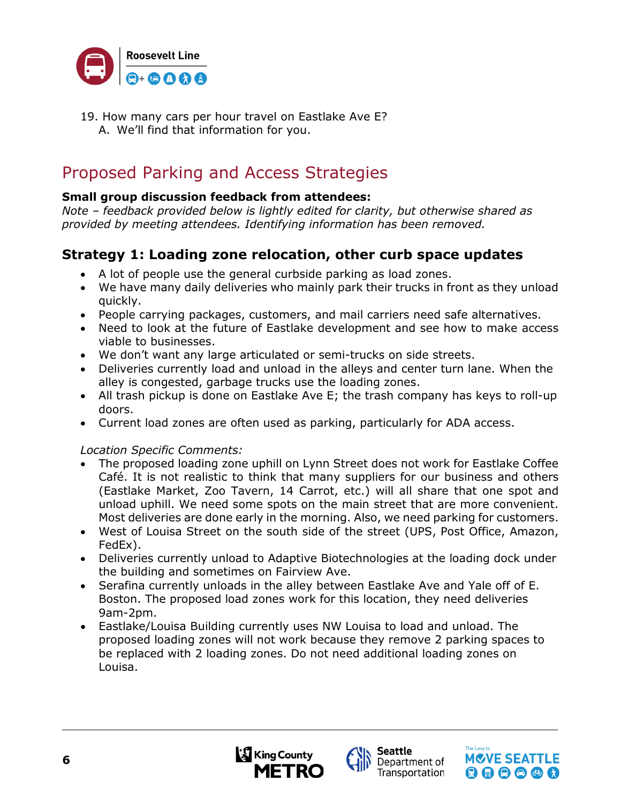

19. How many cars per hour travel on Eastlake Ave E? A. We'll find that information for you.

## Proposed Parking and Access Strategies

#### **Small group discussion feedback from attendees:**

*Note – feedback provided below is lightly edited for clarity, but otherwise shared as provided by meeting attendees. Identifying information has been removed.*

### **Strategy 1: Loading zone relocation, other curb space updates**

- A lot of people use the general curbside parking as load zones.
- We have many daily deliveries who mainly park their trucks in front as they unload quickly.
- People carrying packages, customers, and mail carriers need safe alternatives.
- Need to look at the future of Eastlake development and see how to make access viable to businesses.
- We don't want any large articulated or semi-trucks on side streets.
- Deliveries currently load and unload in the alleys and center turn lane. When the alley is congested, garbage trucks use the loading zones.
- All trash pickup is done on Eastlake Ave E; the trash company has keys to roll-up doors.
- Current load zones are often used as parking, particularly for ADA access.

#### *Location Specific Comments:*

- The proposed loading zone uphill on Lynn Street does not work for Eastlake Coffee Café. It is not realistic to think that many suppliers for our business and others (Eastlake Market, Zoo Tavern, 14 Carrot, etc.) will all share that one spot and unload uphill. We need some spots on the main street that are more convenient. Most deliveries are done early in the morning. Also, we need parking for customers.
- West of Louisa Street on the south side of the street (UPS, Post Office, Amazon, FedEx).
- Deliveries currently unload to Adaptive Biotechnologies at the loading dock under the building and sometimes on Fairview Ave.
- Serafina currently unloads in the alley between Eastlake Ave and Yale off of E. Boston. The proposed load zones work for this location, they need deliveries 9am-2pm.
- Eastlake/Louisa Building currently uses NW Louisa to load and unload. The proposed loading zones will not work because they remove 2 parking spaces to be replaced with 2 loading zones. Do not need additional loading zones on Louisa.





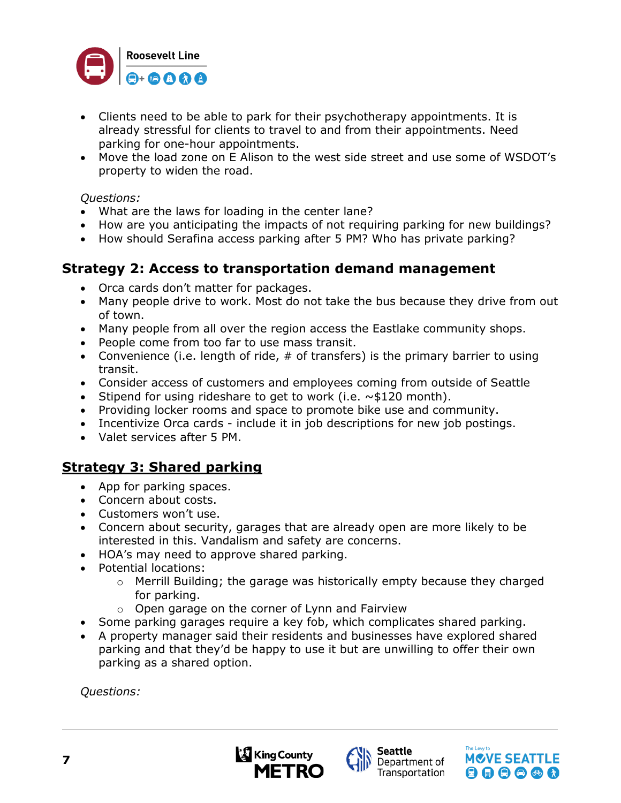

- Clients need to be able to park for their psychotherapy appointments. It is already stressful for clients to travel to and from their appointments. Need parking for one-hour appointments.
- Move the load zone on E Alison to the west side street and use some of WSDOT's property to widen the road.

#### *Questions:*

- What are the laws for loading in the center lane?
- How are you anticipating the impacts of not requiring parking for new buildings?
- How should Serafina access parking after 5 PM? Who has private parking?

#### **Strategy 2: Access to transportation demand management**

- Orca cards don't matter for packages.
- Many people drive to work. Most do not take the bus because they drive from out of town.
- Many people from all over the region access the Eastlake community shops.
- People come from too far to use mass transit.
- Convenience (i.e. length of ride,  $#$  of transfers) is the primary barrier to using transit.
- Consider access of customers and employees coming from outside of Seattle
- Stipend for using rideshare to get to work (i.e.  $\sim$ \$120 month).
- Providing locker rooms and space to promote bike use and community.
- Incentivize Orca cards include it in job descriptions for new job postings.
- Valet services after 5 PM.

### **Strategy 3: Shared parking**

- App for parking spaces.
- Concern about costs.
- Customers won't use.
- Concern about security, garages that are already open are more likely to be interested in this. Vandalism and safety are concerns.
- HOA's may need to approve shared parking.
- Potential locations:
	- o Merrill Building; the garage was historically empty because they charged for parking.
	- o Open garage on the corner of Lynn and Fairview
- Some parking garages require a key fob, which complicates shared parking.
- A property manager said their residents and businesses have explored shared parking and that they'd be happy to use it but are unwilling to offer their own parking as a shared option.

*Questions:*





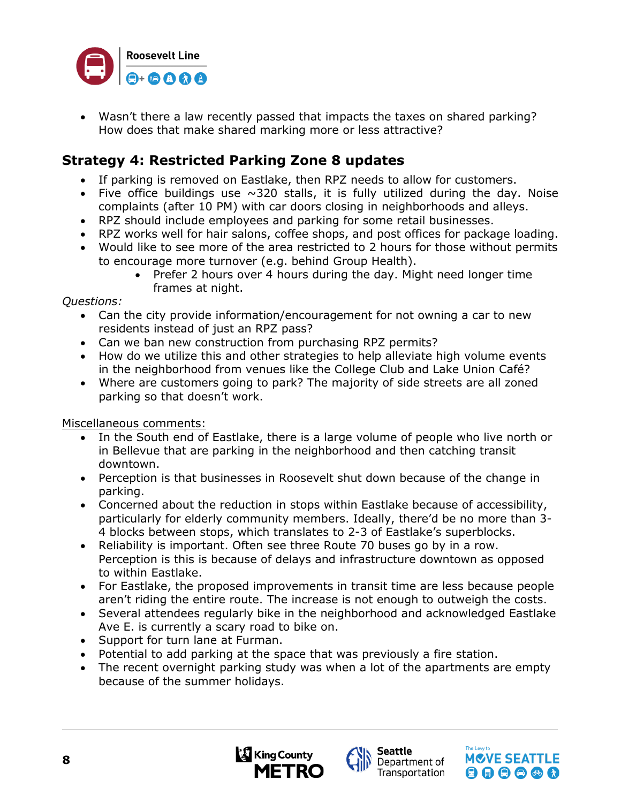

• Wasn't there a law recently passed that impacts the taxes on shared parking? How does that make shared marking more or less attractive?

### **Strategy 4: Restricted Parking Zone 8 updates**

- If parking is removed on Eastlake, then RPZ needs to allow for customers.
- Five office buildings use  $\sim$ 320 stalls, it is fully utilized during the day. Noise complaints (after 10 PM) with car doors closing in neighborhoods and alleys.
- RPZ should include employees and parking for some retail businesses.
- RPZ works well for hair salons, coffee shops, and post offices for package loading.
- Would like to see more of the area restricted to 2 hours for those without permits to encourage more turnover (e.g. behind Group Health).
	- Prefer 2 hours over 4 hours during the day. Might need longer time frames at night.

*Questions:*

- Can the city provide information/encouragement for not owning a car to new residents instead of just an RPZ pass?
- Can we ban new construction from purchasing RPZ permits?
- How do we utilize this and other strategies to help alleviate high volume events in the neighborhood from venues like the College Club and Lake Union Café?
- Where are customers going to park? The majority of side streets are all zoned parking so that doesn't work.

Miscellaneous comments:

- In the South end of Eastlake, there is a large volume of people who live north or in Bellevue that are parking in the neighborhood and then catching transit downtown.
- Perception is that businesses in Roosevelt shut down because of the change in parking.
- Concerned about the reduction in stops within Eastlake because of accessibility, particularly for elderly community members. Ideally, there'd be no more than 3- 4 blocks between stops, which translates to 2-3 of Eastlake's superblocks.
- Reliability is important. Often see three Route 70 buses go by in a row. Perception is this is because of delays and infrastructure downtown as opposed to within Eastlake.
- For Eastlake, the proposed improvements in transit time are less because people aren't riding the entire route. The increase is not enough to outweigh the costs.
- Several attendees regularly bike in the neighborhood and acknowledged Eastlake Ave E. is currently a scary road to bike on.
- Support for turn lane at Furman.
- Potential to add parking at the space that was previously a fire station.
- The recent overnight parking study was when a lot of the apartments are empty because of the summer holidays.